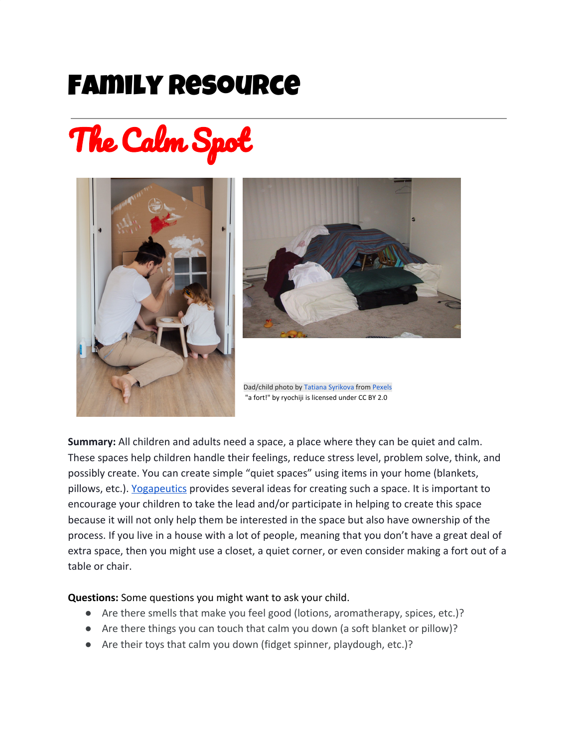## Family Resource

The Calm Spot





**Summary:** All children and adults need a space, a place where they can be quiet and calm. These spaces help children handle their feelings, reduce stress level, problem solve, think, and possibly create. You can create simple "quiet spaces" using items in your home (blankets, pillows, etc.). [Yogapeutics](https://www.yogapeutics.com/blog/1-simple-space-every-kid-needs-in-the-home-or-classroom) provides several ideas for creating such a space. It is important to encourage your children to take the lead and/or participate in helping to create this space because it will not only help them be interested in the space but also have ownership of the process. If you live in a house with a lot of people, meaning that you don't have a great deal of extra space, then you might use a closet, a quiet corner, or even consider making a fort out of a table or chair.

## **Questions:** Some questions you might want to ask your child.

- Are there smells that make you feel good (lotions, aromatherapy, spices, etc.)?
- Are there things you can touch that calm you down (a soft blanket or pillow)?
- Are their toys that calm you down (fidget spinner, playdough, etc.)?

Dad/child photo by Tatiana [Syrikova](https://www.pexels.com/@tatianasyrikova?utm_content=attributionCopyText&utm_medium=referral&utm_source=pexels) from [Pexels](https://www.pexels.com/photo/man-in-white-t-shirt-and-brown-pants-painting-cardboard-house-3933227/?utm_content=attributionCopyText&utm_medium=referral&utm_source=pexels) "a [fort!"](http://www.flickr.com/photos/66685169@N00/75276506) by [ryochiji](http://www.flickr.com/photos/66685169@N00) is licensed under CC BY [2.0](https://creativecommons.org/licenses/by/2.0/?ref=ccsearch&atype=rich)